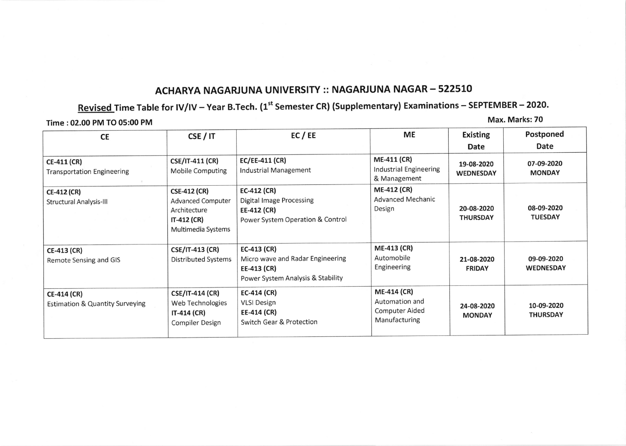## ACHARYA NAGARJUNA UNIVERSITY :: NAGARJUNA NAGAR – 522510

## <u>Revised Time Table for IV/IV – Year B.Tech. (1<sup>st</sup> Semester CR) (Supplementary) Examinations – SEPTEMBER – 2020.</u>

Time :02.00 PM TO 05:00 PM

Max. Marks:70

| <b>CE</b>                                                        | CSE/IT                                                                                               | EC/EE                                                                                                 | ME                                                                      | <b>Existing</b><br>Date        | Postponed<br>Date              |
|------------------------------------------------------------------|------------------------------------------------------------------------------------------------------|-------------------------------------------------------------------------------------------------------|-------------------------------------------------------------------------|--------------------------------|--------------------------------|
| <b>CE-411 (CR)</b><br><b>Transportation Engineering</b>          | <b>CSE/IT-411 (CR)</b><br><b>Mobile Computing</b>                                                    | <b>EC/EE-411 (CR)</b><br>Industrial Management                                                        | <b>ME-411 (CR)</b><br>Industrial Engineering<br>& Management            | 19-08-2020<br><b>WEDNESDAY</b> | 07-09-2020<br><b>MONDAY</b>    |
| <b>CE-412 (CR)</b><br>Structural Analysis-III                    | <b>CSE-412 (CR)</b><br><b>Advanced Computer</b><br>Architecture<br>IT-412 (CR)<br>Multimedia Systems | $EC-412$ (CR)<br><b>Digital Image Processing</b><br>EE-412 (CR)<br>Power System Operation & Control   | <b>ME-412 (CR)</b><br><b>Advanced Mechanic</b><br>Design                | 20-08-2020<br><b>THURSDAY</b>  | 08-09-2020<br><b>TUESDAY</b>   |
| <b>CE-413 (CR)</b><br>Remote Sensing and GIS                     | <b>CSE/IT-413 (CR)</b><br><b>Distributed Systems</b>                                                 | $EC-413$ (CR)<br>Micro wave and Radar Engineering<br>EE-413 (CR)<br>Power System Analysis & Stability | <b>ME-413 (CR)</b><br>Automobile<br>Engineering                         | 21-08-2020<br><b>FRIDAY</b>    | 09-09-2020<br><b>WEDNESDAY</b> |
| <b>CE-414 (CR)</b><br><b>Estimation &amp; Quantity Surveying</b> | <b>CSE/IT-414 (CR)</b><br>Web Technologies<br>$IT-414$ (CR)<br><b>Compiler Design</b>                | $EC-414$ (CR)<br><b>VLSI Design</b><br>EE-414 (CR)<br>Switch Gear & Protection                        | <b>ME-414 (CR)</b><br>Automation and<br>Computer Aided<br>Manufacturing | 24-08-2020<br><b>MONDAY</b>    | 10-09-2020<br><b>THURSDAY</b>  |